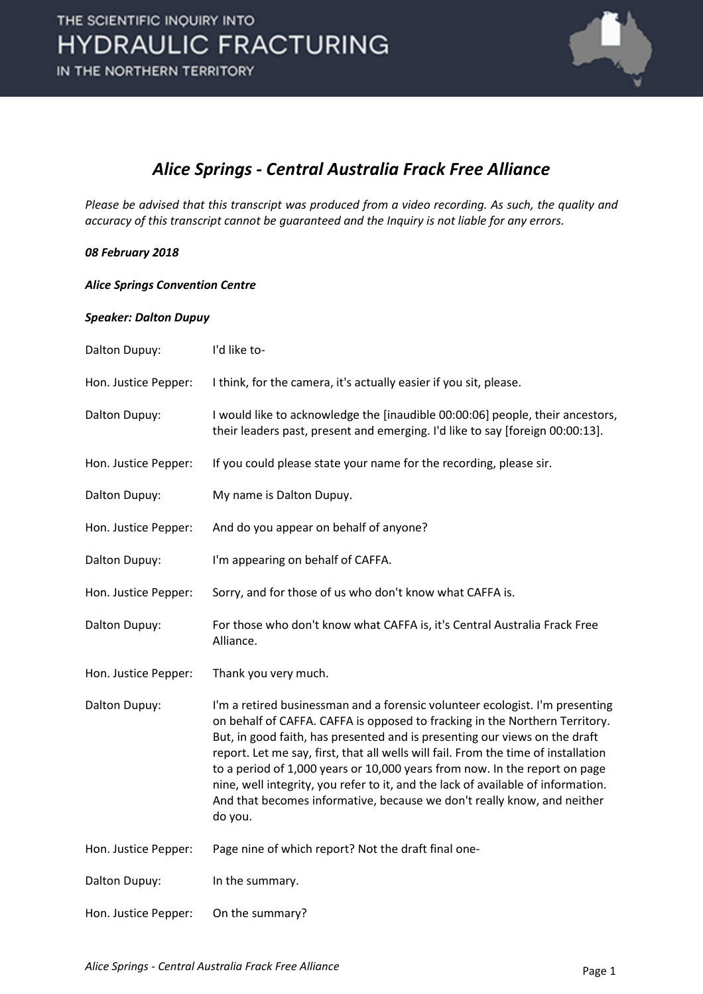

### *Alice Springs - Central Australia Frack Free Alliance*

*Please be advised that this transcript was produced from a video recording. As such, the quality and accuracy of this transcript cannot be guaranteed and the Inquiry is not liable for any errors.*

#### *08 February 2018*

*Alice Springs Convention Centre*

#### *Speaker: Dalton Dupuy*

| Dalton Dupuy:        | I'd like to-                                                                                                                                                                                                                                                                                                                                                                                                                                                                                                                                                                            |
|----------------------|-----------------------------------------------------------------------------------------------------------------------------------------------------------------------------------------------------------------------------------------------------------------------------------------------------------------------------------------------------------------------------------------------------------------------------------------------------------------------------------------------------------------------------------------------------------------------------------------|
| Hon. Justice Pepper: | I think, for the camera, it's actually easier if you sit, please.                                                                                                                                                                                                                                                                                                                                                                                                                                                                                                                       |
| Dalton Dupuy:        | I would like to acknowledge the [inaudible 00:00:06] people, their ancestors,<br>their leaders past, present and emerging. I'd like to say [foreign 00:00:13].                                                                                                                                                                                                                                                                                                                                                                                                                          |
| Hon. Justice Pepper: | If you could please state your name for the recording, please sir.                                                                                                                                                                                                                                                                                                                                                                                                                                                                                                                      |
| Dalton Dupuy:        | My name is Dalton Dupuy.                                                                                                                                                                                                                                                                                                                                                                                                                                                                                                                                                                |
| Hon. Justice Pepper: | And do you appear on behalf of anyone?                                                                                                                                                                                                                                                                                                                                                                                                                                                                                                                                                  |
| Dalton Dupuy:        | I'm appearing on behalf of CAFFA.                                                                                                                                                                                                                                                                                                                                                                                                                                                                                                                                                       |
| Hon. Justice Pepper: | Sorry, and for those of us who don't know what CAFFA is.                                                                                                                                                                                                                                                                                                                                                                                                                                                                                                                                |
| Dalton Dupuy:        | For those who don't know what CAFFA is, it's Central Australia Frack Free<br>Alliance.                                                                                                                                                                                                                                                                                                                                                                                                                                                                                                  |
| Hon. Justice Pepper: | Thank you very much.                                                                                                                                                                                                                                                                                                                                                                                                                                                                                                                                                                    |
| Dalton Dupuy:        | I'm a retired businessman and a forensic volunteer ecologist. I'm presenting<br>on behalf of CAFFA. CAFFA is opposed to fracking in the Northern Territory.<br>But, in good faith, has presented and is presenting our views on the draft<br>report. Let me say, first, that all wells will fail. From the time of installation<br>to a period of 1,000 years or 10,000 years from now. In the report on page<br>nine, well integrity, you refer to it, and the lack of available of information.<br>And that becomes informative, because we don't really know, and neither<br>do you. |
| Hon. Justice Pepper: | Page nine of which report? Not the draft final one-                                                                                                                                                                                                                                                                                                                                                                                                                                                                                                                                     |
| Dalton Dupuy:        | In the summary.                                                                                                                                                                                                                                                                                                                                                                                                                                                                                                                                                                         |
| Hon. Justice Pepper: | On the summary?                                                                                                                                                                                                                                                                                                                                                                                                                                                                                                                                                                         |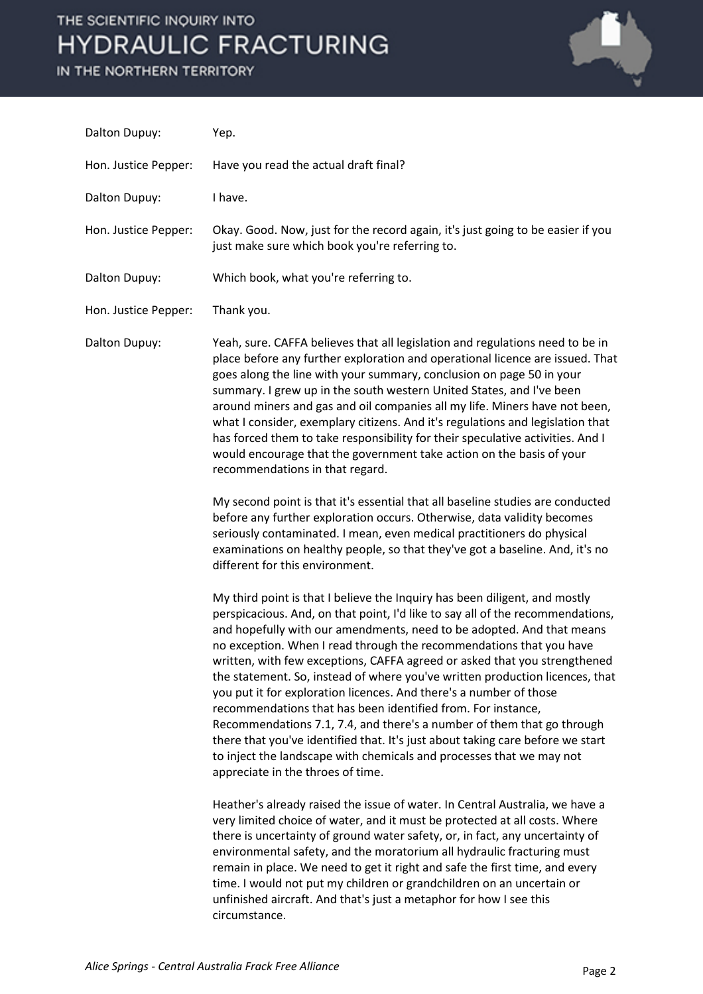

| Dalton Dupuy:        | Yep.                                                                                                                                                                                                                                                                                                                                                                                                                                                                                                                                                                                                                                                                                                                                                                                                                                                                                     |
|----------------------|------------------------------------------------------------------------------------------------------------------------------------------------------------------------------------------------------------------------------------------------------------------------------------------------------------------------------------------------------------------------------------------------------------------------------------------------------------------------------------------------------------------------------------------------------------------------------------------------------------------------------------------------------------------------------------------------------------------------------------------------------------------------------------------------------------------------------------------------------------------------------------------|
| Hon. Justice Pepper: | Have you read the actual draft final?                                                                                                                                                                                                                                                                                                                                                                                                                                                                                                                                                                                                                                                                                                                                                                                                                                                    |
| Dalton Dupuy:        | I have.                                                                                                                                                                                                                                                                                                                                                                                                                                                                                                                                                                                                                                                                                                                                                                                                                                                                                  |
| Hon. Justice Pepper: | Okay. Good. Now, just for the record again, it's just going to be easier if you<br>just make sure which book you're referring to.                                                                                                                                                                                                                                                                                                                                                                                                                                                                                                                                                                                                                                                                                                                                                        |
| Dalton Dupuy:        | Which book, what you're referring to.                                                                                                                                                                                                                                                                                                                                                                                                                                                                                                                                                                                                                                                                                                                                                                                                                                                    |
| Hon. Justice Pepper: | Thank you.                                                                                                                                                                                                                                                                                                                                                                                                                                                                                                                                                                                                                                                                                                                                                                                                                                                                               |
| Dalton Dupuy:        | Yeah, sure. CAFFA believes that all legislation and regulations need to be in<br>place before any further exploration and operational licence are issued. That<br>goes along the line with your summary, conclusion on page 50 in your<br>summary. I grew up in the south western United States, and I've been<br>around miners and gas and oil companies all my life. Miners have not been,<br>what I consider, exemplary citizens. And it's regulations and legislation that<br>has forced them to take responsibility for their speculative activities. And I<br>would encourage that the government take action on the basis of your<br>recommendations in that regard.                                                                                                                                                                                                              |
|                      | My second point is that it's essential that all baseline studies are conducted<br>before any further exploration occurs. Otherwise, data validity becomes<br>seriously contaminated. I mean, even medical practitioners do physical<br>examinations on healthy people, so that they've got a baseline. And, it's no<br>different for this environment.                                                                                                                                                                                                                                                                                                                                                                                                                                                                                                                                   |
|                      | My third point is that I believe the Inquiry has been diligent, and mostly<br>perspicacious. And, on that point, I'd like to say all of the recommendations,<br>and hopefully with our amendments, need to be adopted. And that means<br>no exception. When I read through the recommendations that you have<br>written, with few exceptions, CAFFA agreed or asked that you strengthened<br>the statement. So, instead of where you've written production licences, that<br>you put it for exploration licences. And there's a number of those<br>recommendations that has been identified from. For instance,<br>Recommendations 7.1, 7.4, and there's a number of them that go through<br>there that you've identified that. It's just about taking care before we start<br>to inject the landscape with chemicals and processes that we may not<br>appreciate in the throes of time. |
|                      | Heather's already raised the issue of water. In Central Australia, we have a<br>very limited choice of water, and it must be protected at all costs. Where<br>there is uncertainty of ground water safety, or, in fact, any uncertainty of<br>environmental safety, and the moratorium all hydraulic fracturing must<br>remain in place. We need to get it right and safe the first time, and every<br>time. I would not put my children or grandchildren on an uncertain or<br>unfinished aircraft. And that's just a metaphor for how I see this<br>circumstance.                                                                                                                                                                                                                                                                                                                      |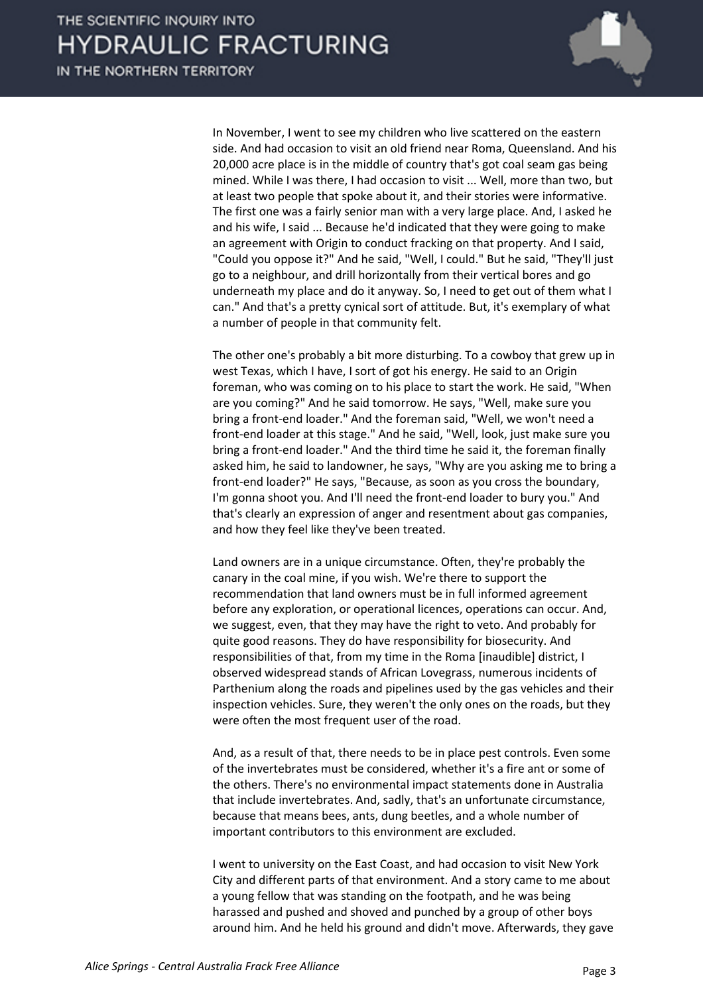

In November, I went to see my children who live scattered on the eastern side. And had occasion to visit an old friend near Roma, Queensland. And his 20,000 acre place is in the middle of country that's got coal seam gas being mined. While I was there, I had occasion to visit ... Well, more than two, but at least two people that spoke about it, and their stories were informative. The first one was a fairly senior man with a very large place. And, I asked he and his wife, I said ... Because he'd indicated that they were going to make an agreement with Origin to conduct fracking on that property. And I said, "Could you oppose it?" And he said, "Well, I could." But he said, "They'll just go to a neighbour, and drill horizontally from their vertical bores and go underneath my place and do it anyway. So, I need to get out of them what I can." And that's a pretty cynical sort of attitude. But, it's exemplary of what a number of people in that community felt.

The other one's probably a bit more disturbing. To a cowboy that grew up in west Texas, which I have, I sort of got his energy. He said to an Origin foreman, who was coming on to his place to start the work. He said, "When are you coming?" And he said tomorrow. He says, "Well, make sure you bring a front-end loader." And the foreman said, "Well, we won't need a front-end loader at this stage." And he said, "Well, look, just make sure you bring a front-end loader." And the third time he said it, the foreman finally asked him, he said to landowner, he says, "Why are you asking me to bring a front-end loader?" He says, "Because, as soon as you cross the boundary, I'm gonna shoot you. And I'll need the front-end loader to bury you." And that's clearly an expression of anger and resentment about gas companies, and how they feel like they've been treated.

Land owners are in a unique circumstance. Often, they're probably the canary in the coal mine, if you wish. We're there to support the recommendation that land owners must be in full informed agreement before any exploration, or operational licences, operations can occur. And, we suggest, even, that they may have the right to veto. And probably for quite good reasons. They do have responsibility for biosecurity. And responsibilities of that, from my time in the Roma [inaudible] district, I observed widespread stands of African Lovegrass, numerous incidents of Parthenium along the roads and pipelines used by the gas vehicles and their inspection vehicles. Sure, they weren't the only ones on the roads, but they were often the most frequent user of the road.

And, as a result of that, there needs to be in place pest controls. Even some of the invertebrates must be considered, whether it's a fire ant or some of the others. There's no environmental impact statements done in Australia that include invertebrates. And, sadly, that's an unfortunate circumstance, because that means bees, ants, dung beetles, and a whole number of important contributors to this environment are excluded.

I went to university on the East Coast, and had occasion to visit New York City and different parts of that environment. And a story came to me about a young fellow that was standing on the footpath, and he was being harassed and pushed and shoved and punched by a group of other boys around him. And he held his ground and didn't move. Afterwards, they gave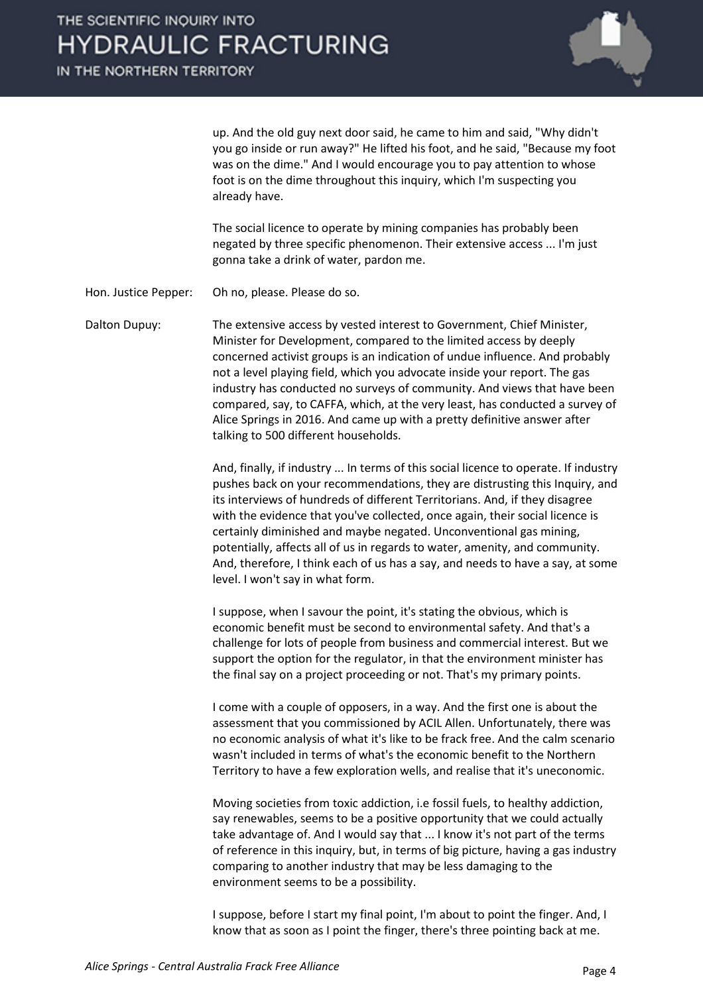

up. And the old guy next door said, he came to him and said, "Why didn't you go inside or run away?" He lifted his foot, and he said, "Because my foot was on the dime." And I would encourage you to pay attention to whose foot is on the dime throughout this inquiry, which I'm suspecting you already have.

The social licence to operate by mining companies has probably been negated by three specific phenomenon. Their extensive access ... I'm just gonna take a drink of water, pardon me.

Hon. Justice Pepper: Oh no, please. Please do so.

Dalton Dupuy: The extensive access by vested interest to Government, Chief Minister, Minister for Development, compared to the limited access by deeply concerned activist groups is an indication of undue influence. And probably not a level playing field, which you advocate inside your report. The gas industry has conducted no surveys of community. And views that have been compared, say, to CAFFA, which, at the very least, has conducted a survey of Alice Springs in 2016. And came up with a pretty definitive answer after talking to 500 different households.

> And, finally, if industry ... In terms of this social licence to operate. If industry pushes back on your recommendations, they are distrusting this Inquiry, and its interviews of hundreds of different Territorians. And, if they disagree with the evidence that you've collected, once again, their social licence is certainly diminished and maybe negated. Unconventional gas mining, potentially, affects all of us in regards to water, amenity, and community. And, therefore, I think each of us has a say, and needs to have a say, at some level. I won't say in what form.

I suppose, when I savour the point, it's stating the obvious, which is economic benefit must be second to environmental safety. And that's a challenge for lots of people from business and commercial interest. But we support the option for the regulator, in that the environment minister has the final say on a project proceeding or not. That's my primary points.

I come with a couple of opposers, in a way. And the first one is about the assessment that you commissioned by ACIL Allen. Unfortunately, there was no economic analysis of what it's like to be frack free. And the calm scenario wasn't included in terms of what's the economic benefit to the Northern Territory to have a few exploration wells, and realise that it's uneconomic.

Moving societies from toxic addiction, i.e fossil fuels, to healthy addiction, say renewables, seems to be a positive opportunity that we could actually take advantage of. And I would say that ... I know it's not part of the terms of reference in this inquiry, but, in terms of big picture, having a gas industry comparing to another industry that may be less damaging to the environment seems to be a possibility.

I suppose, before I start my final point, I'm about to point the finger. And, I know that as soon as I point the finger, there's three pointing back at me.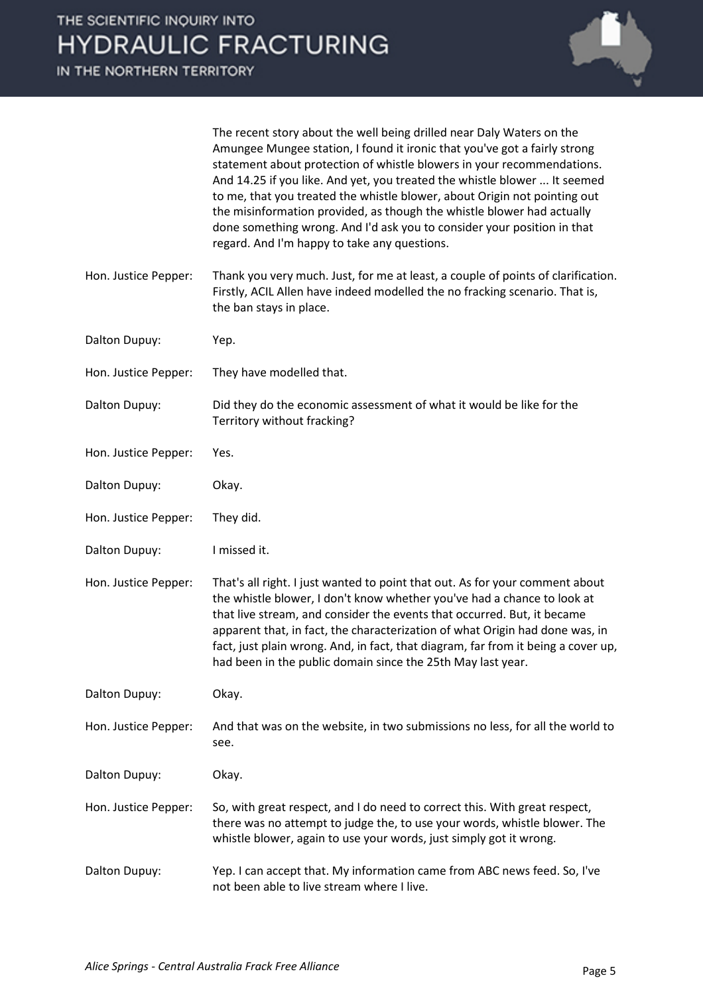

| The recent story about the well being drilled near Daly Waters on the     |
|---------------------------------------------------------------------------|
| Amungee Mungee station, I found it ironic that you've got a fairly strong |
| statement about protection of whistle blowers in your recommendations.    |
| And 14.25 if you like. And yet, you treated the whistle blower  It seemed |
| to me, that you treated the whistle blower, about Origin not pointing out |
| the misinformation provided, as though the whistle blower had actually    |
| done something wrong. And I'd ask you to consider your position in that   |
| regard. And I'm happy to take any questions.                              |

- Hon. Justice Pepper: Thank you very much. Just, for me at least, a couple of points of clarification. Firstly, ACIL Allen have indeed modelled the no fracking scenario. That is, the ban stays in place.
- Dalton Dupuy: Yep.
- Hon. Justice Pepper: They have modelled that.
- Dalton Dupuy: Did they do the economic assessment of what it would be like for the Territory without fracking?
- Hon. Justice Pepper: Yes.
- Dalton Dupuy: Okay.
- Hon. Justice Pepper: They did.
- Dalton Dupuy: I missed it.

Hon. Justice Pepper: That's all right. I just wanted to point that out. As for your comment about the whistle blower, I don't know whether you've had a chance to look at that live stream, and consider the events that occurred. But, it became apparent that, in fact, the characterization of what Origin had done was, in fact, just plain wrong. And, in fact, that diagram, far from it being a cover up, had been in the public domain since the 25th May last year.

Dalton Dupuy: Okay.

Hon. Justice Pepper: And that was on the website, in two submissions no less, for all the world to see.

Dalton Dupuy: Okay.

Hon. Justice Pepper: So, with great respect, and I do need to correct this. With great respect, there was no attempt to judge the, to use your words, whistle blower. The whistle blower, again to use your words, just simply got it wrong.

Dalton Dupuy: Yep. I can accept that. My information came from ABC news feed. So, I've not been able to live stream where I live.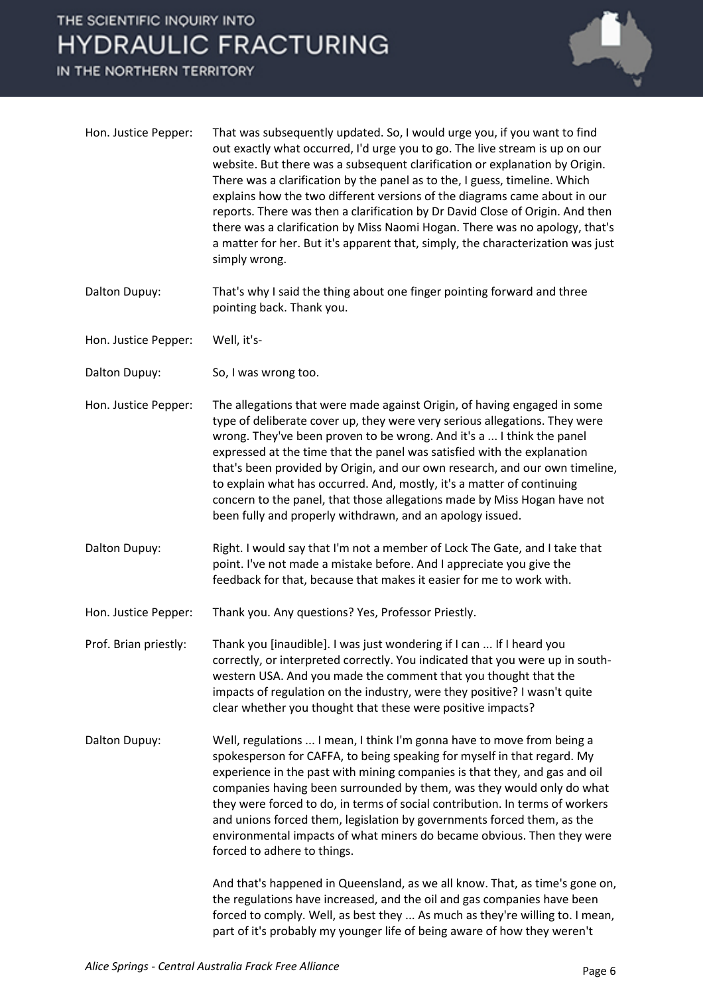

| Hon. Justice Pepper:  | That was subsequently updated. So, I would urge you, if you want to find<br>out exactly what occurred, I'd urge you to go. The live stream is up on our<br>website. But there was a subsequent clarification or explanation by Origin.<br>There was a clarification by the panel as to the, I guess, timeline. Which<br>explains how the two different versions of the diagrams came about in our<br>reports. There was then a clarification by Dr David Close of Origin. And then<br>there was a clarification by Miss Naomi Hogan. There was no apology, that's<br>a matter for her. But it's apparent that, simply, the characterization was just<br>simply wrong. |
|-----------------------|-----------------------------------------------------------------------------------------------------------------------------------------------------------------------------------------------------------------------------------------------------------------------------------------------------------------------------------------------------------------------------------------------------------------------------------------------------------------------------------------------------------------------------------------------------------------------------------------------------------------------------------------------------------------------|
| Dalton Dupuy:         | That's why I said the thing about one finger pointing forward and three<br>pointing back. Thank you.                                                                                                                                                                                                                                                                                                                                                                                                                                                                                                                                                                  |
| Hon. Justice Pepper:  | Well, it's-                                                                                                                                                                                                                                                                                                                                                                                                                                                                                                                                                                                                                                                           |
| Dalton Dupuy:         | So, I was wrong too.                                                                                                                                                                                                                                                                                                                                                                                                                                                                                                                                                                                                                                                  |
| Hon. Justice Pepper:  | The allegations that were made against Origin, of having engaged in some<br>type of deliberate cover up, they were very serious allegations. They were<br>wrong. They've been proven to be wrong. And it's a  I think the panel<br>expressed at the time that the panel was satisfied with the explanation<br>that's been provided by Origin, and our own research, and our own timeline,<br>to explain what has occurred. And, mostly, it's a matter of continuing<br>concern to the panel, that those allegations made by Miss Hogan have not<br>been fully and properly withdrawn, and an apology issued.                                                          |
| Dalton Dupuy:         | Right. I would say that I'm not a member of Lock The Gate, and I take that<br>point. I've not made a mistake before. And I appreciate you give the<br>feedback for that, because that makes it easier for me to work with.                                                                                                                                                                                                                                                                                                                                                                                                                                            |
| Hon. Justice Pepper:  | Thank you. Any questions? Yes, Professor Priestly.                                                                                                                                                                                                                                                                                                                                                                                                                                                                                                                                                                                                                    |
| Prof. Brian priestly: | Thank you [inaudible]. I was just wondering if I can  If I heard you<br>correctly, or interpreted correctly. You indicated that you were up in south-<br>western USA. And you made the comment that you thought that the<br>impacts of regulation on the industry, were they positive? I wasn't quite<br>clear whether you thought that these were positive impacts?                                                                                                                                                                                                                                                                                                  |
| Dalton Dupuy:         | Well, regulations  I mean, I think I'm gonna have to move from being a<br>spokesperson for CAFFA, to being speaking for myself in that regard. My<br>experience in the past with mining companies is that they, and gas and oil<br>companies having been surrounded by them, was they would only do what<br>they were forced to do, in terms of social contribution. In terms of workers<br>and unions forced them, legislation by governments forced them, as the<br>environmental impacts of what miners do became obvious. Then they were<br>forced to adhere to things.<br>And that's happened in Queensland, as we all know. That, as time's gone on,            |
|                       | the regulations have increased, and the oil and gas companies have been<br>forced to comply. Well, as best they  As much as they're willing to. I mean,<br>part of it's probably my younger life of being aware of how they weren't                                                                                                                                                                                                                                                                                                                                                                                                                                   |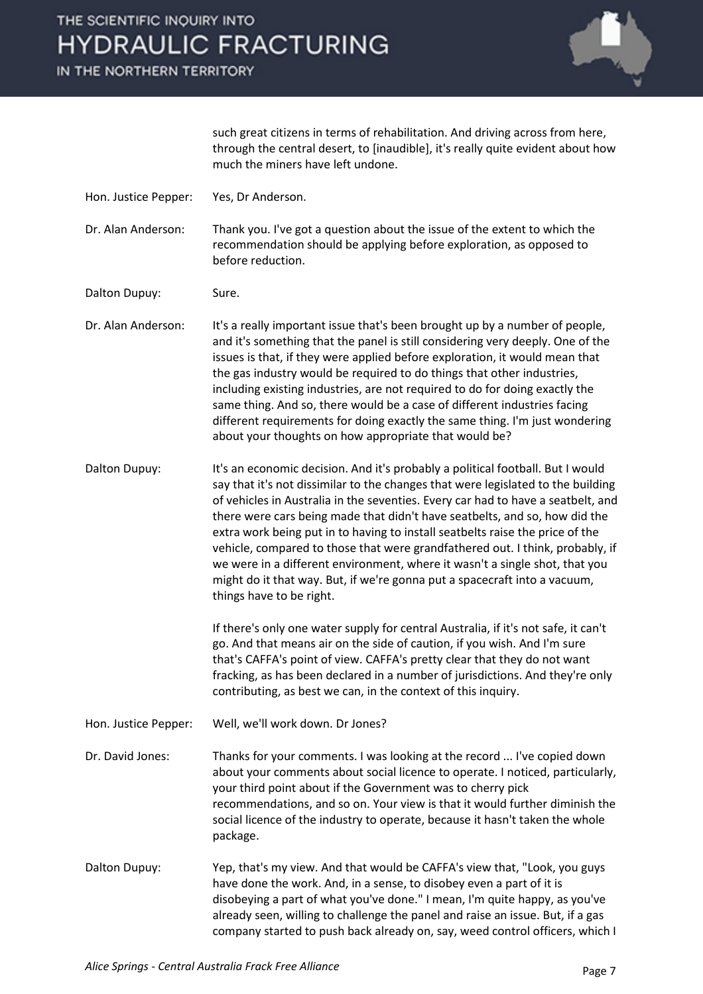IN THE NORTHERN TERRITORY



such great citizens in terms of rehabilitation. And driving across from here, through the central desert, to [inaudible], it's really quite evident about how much the miners have left undone.

Hon. Justice Pepper: Yes, Dr Anderson.

Dr. Alan Anderson: Thank you. I've got a question about the issue of the extent to which the recommendation should be applying before exploration, as opposed to before reduction.

Dalton Dupuy: Sure.

Dr. Alan Anderson: It's a really important issue that's been brought up by a number of people, and it's something that the panel is still considering very deeply. One of the issues is that, if they were applied before exploration, it would mean that the gas industry would be required to do things that other industries, including existing industries, are not required to do for doing exactly the same thing. And so, there would be a case of different industries facing different requirements for doing exactly the same thing. I'm just wondering about your thoughts on how appropriate that would be?

Dalton Dupuy: It's an economic decision. And it's probably a political football. But I would say that it's not dissimilar to the changes that were legislated to the building of vehicles in Australia in the seventies. Every car had to have a seatbelt, and there were cars being made that didn't have seatbelts, and so, how did the extra work being put in to having to install seatbelts raise the price of the vehicle, compared to those that were grandfathered out. I think, probably, if we were in a different environment, where it wasn't a single shot, that you might do it that way. But, if we're gonna put a spacecraft into a vacuum, things have to be right.

> If there's only one water supply for central Australia, if it's not safe, it can't go. And that means air on the side of caution, if you wish. And I'm sure that's CAFFA's point of view. CAFFA's pretty clear that they do not want fracking, as has been declared in a number of jurisdictions. And they're only contributing, as best we can, in the context of this inquiry.

Hon. Justice Pepper: Well, we'll work down. Dr Jones?

Dr. David Jones: Thanks for your comments. I was looking at the record ... I've copied down about your comments about social licence to operate. I noticed, particularly, your third point about if the Government was to cherry pick recommendations, and so on. Your view is that it would further diminish the social licence of the industry to operate, because it hasn't taken the whole package.

Dalton Dupuy: Yep, that's my view. And that would be CAFFA's view that, "Look, you guys have done the work. And, in a sense, to disobey even a part of it is disobeying a part of what you've done." I mean, I'm quite happy, as you've already seen, willing to challenge the panel and raise an issue. But, if a gas company started to push back already on, say, weed control officers, which I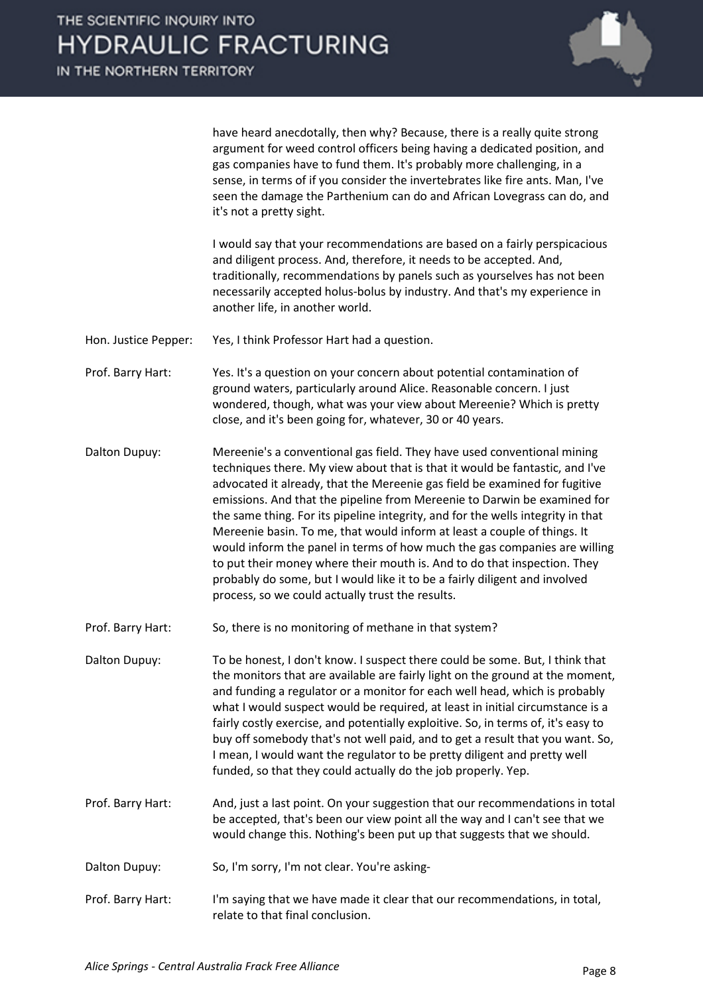

have heard anecdotally, then why? Because, there is a really quite strong argument for weed control officers being having a dedicated position, and gas companies have to fund them. It's probably more challenging, in a sense, in terms of if you consider the invertebrates like fire ants. Man, I've seen the damage the Parthenium can do and African Lovegrass can do, and it's not a pretty sight.

I would say that your recommendations are based on a fairly perspicacious and diligent process. And, therefore, it needs to be accepted. And, traditionally, recommendations by panels such as yourselves has not been necessarily accepted holus-bolus by industry. And that's my experience in another life, in another world.

Hon. Justice Pepper: Yes, I think Professor Hart had a question.

- Prof. Barry Hart: Yes. It's a question on your concern about potential contamination of ground waters, particularly around Alice. Reasonable concern. I just wondered, though, what was your view about Mereenie? Which is pretty close, and it's been going for, whatever, 30 or 40 years.
- Dalton Dupuy: Mereenie's a conventional gas field. They have used conventional mining techniques there. My view about that is that it would be fantastic, and I've advocated it already, that the Mereenie gas field be examined for fugitive emissions. And that the pipeline from Mereenie to Darwin be examined for the same thing. For its pipeline integrity, and for the wells integrity in that Mereenie basin. To me, that would inform at least a couple of things. It would inform the panel in terms of how much the gas companies are willing to put their money where their mouth is. And to do that inspection. They probably do some, but I would like it to be a fairly diligent and involved process, so we could actually trust the results.
- Prof. Barry Hart: So, there is no monitoring of methane in that system?

Dalton Dupuy: To be honest, I don't know. I suspect there could be some. But, I think that the monitors that are available are fairly light on the ground at the moment, and funding a regulator or a monitor for each well head, which is probably what I would suspect would be required, at least in initial circumstance is a fairly costly exercise, and potentially exploitive. So, in terms of, it's easy to buy off somebody that's not well paid, and to get a result that you want. So, I mean, I would want the regulator to be pretty diligent and pretty well funded, so that they could actually do the job properly. Yep.

- Prof. Barry Hart: And, just a last point. On your suggestion that our recommendations in total be accepted, that's been our view point all the way and I can't see that we would change this. Nothing's been put up that suggests that we should.
- Dalton Dupuy: So, I'm sorry, I'm not clear. You're asking-
- Prof. Barry Hart: I'm saying that we have made it clear that our recommendations, in total, relate to that final conclusion.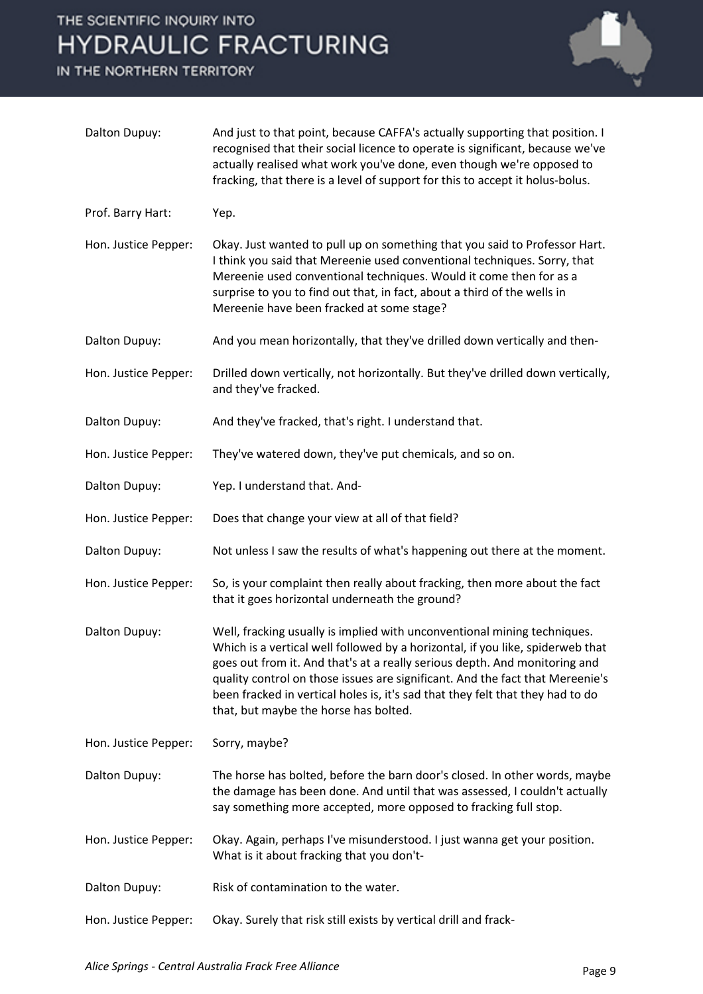

| Dalton Dupuy:        | And just to that point, because CAFFA's actually supporting that position. I<br>recognised that their social licence to operate is significant, because we've<br>actually realised what work you've done, even though we're opposed to<br>fracking, that there is a level of support for this to accept it holus-bolus.                                                                                                                              |
|----------------------|------------------------------------------------------------------------------------------------------------------------------------------------------------------------------------------------------------------------------------------------------------------------------------------------------------------------------------------------------------------------------------------------------------------------------------------------------|
| Prof. Barry Hart:    | Yep.                                                                                                                                                                                                                                                                                                                                                                                                                                                 |
| Hon. Justice Pepper: | Okay. Just wanted to pull up on something that you said to Professor Hart.<br>I think you said that Mereenie used conventional techniques. Sorry, that<br>Mereenie used conventional techniques. Would it come then for as a<br>surprise to you to find out that, in fact, about a third of the wells in<br>Mereenie have been fracked at some stage?                                                                                                |
| Dalton Dupuy:        | And you mean horizontally, that they've drilled down vertically and then-                                                                                                                                                                                                                                                                                                                                                                            |
| Hon. Justice Pepper: | Drilled down vertically, not horizontally. But they've drilled down vertically,<br>and they've fracked.                                                                                                                                                                                                                                                                                                                                              |
| Dalton Dupuy:        | And they've fracked, that's right. I understand that.                                                                                                                                                                                                                                                                                                                                                                                                |
| Hon. Justice Pepper: | They've watered down, they've put chemicals, and so on.                                                                                                                                                                                                                                                                                                                                                                                              |
| Dalton Dupuy:        | Yep. I understand that. And-                                                                                                                                                                                                                                                                                                                                                                                                                         |
| Hon. Justice Pepper: | Does that change your view at all of that field?                                                                                                                                                                                                                                                                                                                                                                                                     |
| Dalton Dupuy:        | Not unless I saw the results of what's happening out there at the moment.                                                                                                                                                                                                                                                                                                                                                                            |
| Hon. Justice Pepper: | So, is your complaint then really about fracking, then more about the fact<br>that it goes horizontal underneath the ground?                                                                                                                                                                                                                                                                                                                         |
| Dalton Dupuy:        | Well, fracking usually is implied with unconventional mining techniques.<br>Which is a vertical well followed by a horizontal, if you like, spiderweb that<br>goes out from it. And that's at a really serious depth. And monitoring and<br>quality control on those issues are significant. And the fact that Mereenie's<br>been fracked in vertical holes is, it's sad that they felt that they had to do<br>that, but maybe the horse has bolted. |
| Hon. Justice Pepper: | Sorry, maybe?                                                                                                                                                                                                                                                                                                                                                                                                                                        |
| Dalton Dupuy:        | The horse has bolted, before the barn door's closed. In other words, maybe<br>the damage has been done. And until that was assessed, I couldn't actually<br>say something more accepted, more opposed to fracking full stop.                                                                                                                                                                                                                         |
| Hon. Justice Pepper: | Okay. Again, perhaps I've misunderstood. I just wanna get your position.<br>What is it about fracking that you don't-                                                                                                                                                                                                                                                                                                                                |
| Dalton Dupuy:        | Risk of contamination to the water.                                                                                                                                                                                                                                                                                                                                                                                                                  |
| Hon. Justice Pepper: | Okay. Surely that risk still exists by vertical drill and frack-                                                                                                                                                                                                                                                                                                                                                                                     |